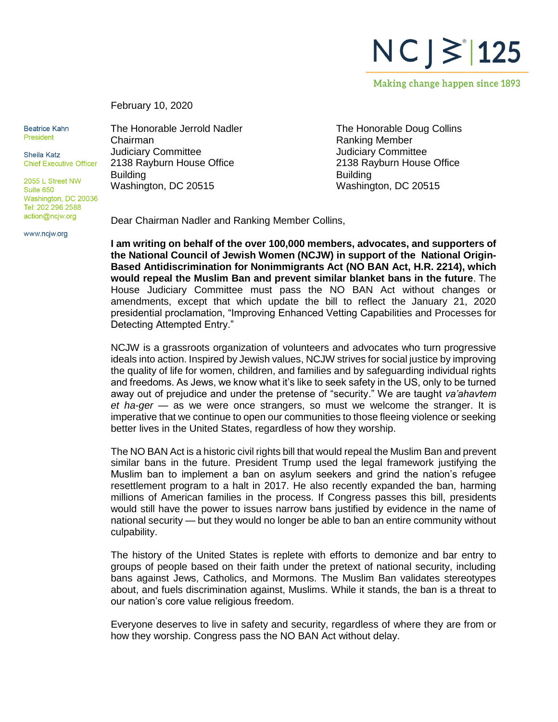$NC$ ] $\ge$  125

Making change happen since 1893

February 10, 2020

**Beatrice Kahn** President

Sheila Katz **Chief Executive Officer** 

2055 L Street NW Suite 650 Washington, DC 20036 Tel: 202 296 2588 action@ncjw.org

www.ncjw.org

The Honorable Jerrold Nadler Chairman Judiciary Committee 2138 Rayburn House Office **Building** Washington, DC 20515

The Honorable Doug Collins Ranking Member Judiciary Committee 2138 Rayburn House Office Building Washington, DC 20515

Dear Chairman Nadler and Ranking Member Collins,

**I am writing on behalf of the over 100,000 members, advocates, and supporters of the National Council of Jewish Women (NCJW) in support of the National Origin-Based Antidiscrimination for Nonimmigrants Act (NO BAN Act, H.R. 2214), which would repeal the Muslim Ban and prevent similar blanket bans in the future**. The House Judiciary Committee must pass the NO BAN Act without changes or amendments, except that which update the bill to reflect the January 21, 2020 presidential proclamation, "Improving Enhanced Vetting Capabilities and Processes for Detecting Attempted Entry."

NCJW is a grassroots organization of volunteers and advocates who turn progressive ideals into action. Inspired by Jewish values, NCJW strives for social justice by improving the quality of life for women, children, and families and by safeguarding individual rights and freedoms. As Jews, we know what it's like to seek safety in the US, only to be turned away out of prejudice and under the pretense of "security." We are taught *va'ahavtem et ha-ger* — as we were once strangers, so must we welcome the stranger. It is imperative that we continue to open our communities to those fleeing violence or seeking better lives in the United States, regardless of how they worship.

The NO BAN Act is a historic civil rights bill that would repeal the Muslim Ban and prevent similar bans in the future. President Trump used the legal framework justifying the Muslim ban to implement a ban on asylum seekers and grind the nation's refugee resettlement program to a halt in 2017. He also recently expanded the ban, harming millions of American families in the process. If Congress passes this bill, presidents would still have the power to issues narrow bans justified by evidence in the name of national security — but they would no longer be able to ban an entire community without culpability.

The history of the United States is replete with efforts to demonize and bar entry to groups of people based on their faith under the pretext of national security, including bans against Jews, Catholics, and Mormons. The Muslim Ban validates stereotypes about, and fuels discrimination against, Muslims. While it stands, the ban is a threat to our nation's core value religious freedom.

Everyone deserves to live in safety and security, regardless of where they are from or how they worship. Congress pass the NO BAN Act without delay.